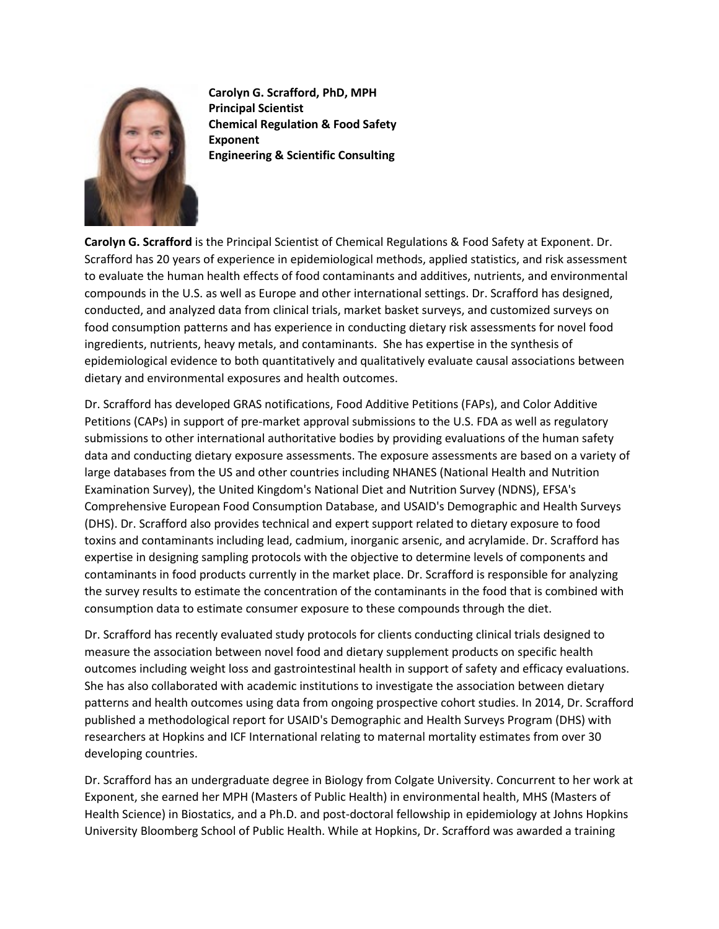

**Carolyn G. Scrafford, PhD, MPH Principal Scientist Chemical Regulation & Food Safety Exponent Engineering & Scientific Consulting**

**Carolyn G. Scrafford** is the Principal Scientist of Chemical Regulations & Food Safety at Exponent. Dr. Scrafford has 20 years of experience in epidemiological methods, applied statistics, and risk assessment to evaluate the human health effects of food contaminants and additives, nutrients, and environmental compounds in the U.S. as well as Europe and other international settings. Dr. Scrafford has designed, conducted, and analyzed data from clinical trials, market basket surveys, and customized surveys on food consumption patterns and has experience in conducting dietary risk assessments for novel food ingredients, nutrients, heavy metals, and contaminants. She has expertise in the synthesis of epidemiological evidence to both quantitatively and qualitatively evaluate causal associations between dietary and environmental exposures and health outcomes.

Dr. Scrafford has developed GRAS notifications, Food Additive Petitions (FAPs), and Color Additive Petitions (CAPs) in support of pre-market approval submissions to the U.S. FDA as well as regulatory submissions to other international authoritative bodies by providing evaluations of the human safety data and conducting dietary exposure assessments. The exposure assessments are based on a variety of large databases from the US and other countries including NHANES (National Health and Nutrition Examination Survey), the United Kingdom's National Diet and Nutrition Survey (NDNS), EFSA's Comprehensive European Food Consumption Database, and USAID's Demographic and Health Surveys (DHS). Dr. Scrafford also provides technical and expert support related to dietary exposure to food toxins and contaminants including lead, cadmium, inorganic arsenic, and acrylamide. Dr. Scrafford has expertise in designing sampling protocols with the objective to determine levels of components and contaminants in food products currently in the market place. Dr. Scrafford is responsible for analyzing the survey results to estimate the concentration of the contaminants in the food that is combined with consumption data to estimate consumer exposure to these compounds through the diet.

Dr. Scrafford has recently evaluated study protocols for clients conducting clinical trials designed to measure the association between novel food and dietary supplement products on specific health outcomes including weight loss and gastrointestinal health in support of safety and efficacy evaluations. She has also collaborated with academic institutions to investigate the association between dietary patterns and health outcomes using data from ongoing prospective cohort studies. In 2014, Dr. Scrafford published a methodological report for USAID's Demographic and Health Surveys Program (DHS) with researchers at Hopkins and ICF International relating to maternal mortality estimates from over 30 developing countries.

Dr. Scrafford has an undergraduate degree in Biology from Colgate University. Concurrent to her work at Exponent, she earned her MPH (Masters of Public Health) in environmental health, MHS (Masters of Health Science) in Biostatics, and a Ph.D. and post-doctoral fellowship in epidemiology at Johns Hopkins University Bloomberg School of Public Health. While at Hopkins, Dr. Scrafford was awarded a training